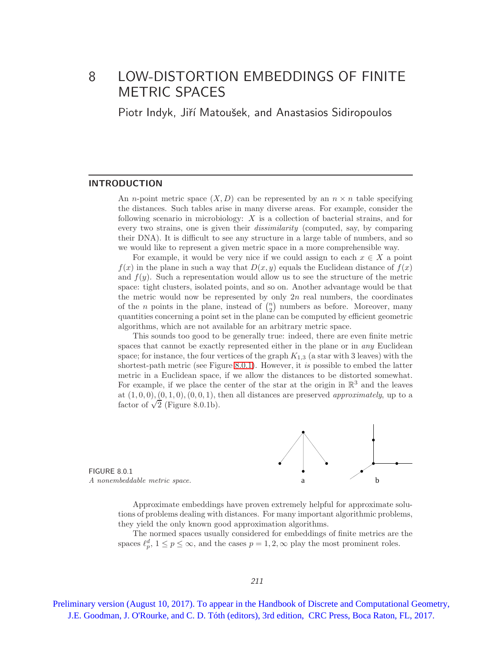# 8 LOW-DISTORTION EMBEDDINGS OF FINITE METRIC SPACES

Piotr Indyk, Jiří Matoušek, and Anastasios Sidiropoulos

#### **INTRODUCTION**

An *n*-point metric space  $(X, D)$  can be represented by an  $n \times n$  table specifying the distances. Such tables arise in many diverse areas. For example, consider the following scenario in microbiology: X is a collection of bacterial strains, and for every two strains, one is given their dissimilarity (computed, say, by comparing their DNA). It is difficult to see any structure in a large table of numbers, and so we would like to represent a given metric space in a more comprehensible way.

For example, it would be very nice if we could assign to each  $x \in X$  a point  $f(x)$  in the plane in such a way that  $D(x, y)$  equals the Euclidean distance of  $f(x)$ and  $f(y)$ . Such a representation would allow us to see the structure of the metric space: tight clusters, isolated points, and so on. Another advantage would be that the metric would now be represented by only  $2n$  real numbers, the coordinates of the *n* points in the plane, instead of  $\binom{n}{2}$  numbers as before. Moreover, many quantities concerning a point set in the plane can be computed by efficient geometric algorithms, which are not available for an arbitrary metric space.

This sounds too good to be generally true: indeed, there are even finite metric spaces that cannot be exactly represented either in the plane or in *any* Euclidean space; for instance, the four vertices of the graph  $K_{1,3}$  (a star with 3 leaves) with the shortest-path metric (see Figure [8.0.1\)](#page-0-0). However, it is possible to embed the latter metric in a Euclidean space, if we allow the distances to be distorted somewhat. For example, if we place the center of the star at the origin in  $\mathbb{R}^3$  and the leaves at  $(1, 0, 0), (0, 1, 0), (0, 0, 1)$ , then all distances are preserved *approximately*, up to a factor of  $\sqrt{2}$  (Figure 8.0.1b).



<span id="page-0-0"></span>Approximate embeddings have proven extremely helpful for approximate solutions of problems dealing with distances. For many important algorithmic problems, they yield the only known good approximation algorithms.

The normed spaces usually considered for embeddings of finite metrics are the spaces  $\ell_p^d$ ,  $1 \le p \le \infty$ , and the cases  $p = 1, 2, \infty$  play the most prominent roles.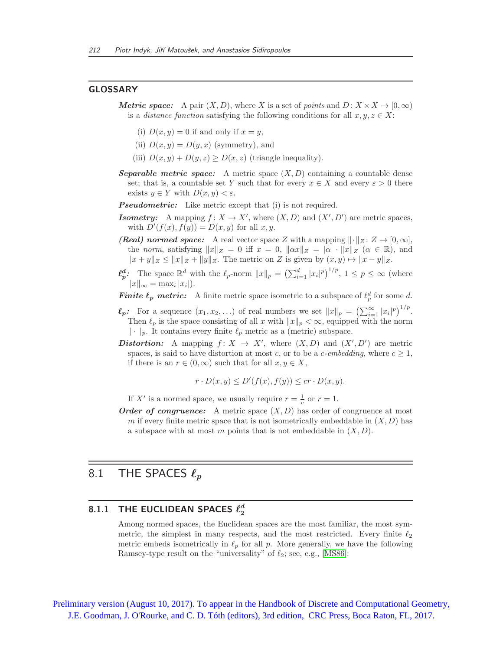#### GLOSSARY

- **Metric space:** A pair  $(X, D)$ , where X is a set of points and  $D: X \times X \rightarrow [0, \infty)$ is a *distance function* satisfying the following conditions for all  $x, y, z \in X$ :
	- (i)  $D(x, y) = 0$  if and only if  $x = y$ ,
	- (ii)  $D(x, y) = D(y, x)$  (symmetry), and
	- (iii)  $D(x, y) + D(y, z) \ge D(x, z)$  (triangle inequality).
- **Separable metric space:** A metric space  $(X, D)$  containing a countable dense set; that is, a countable set Y such that for every  $x \in X$  and every  $\varepsilon > 0$  there exists  $y \in Y$  with  $D(x, y) < \varepsilon$ .
- **Pseudometric:** Like metric except that (i) is not required.
- **Isometry:** A mapping  $f: X \to X'$ , where  $(X, D)$  and  $(X', D')$  are metric spaces, with  $D'(f(x), f(y)) = D(x, y)$  for all  $x, y$ .
- (Real) normed space: A real vector space Z with a mapping  $\|\cdot\|_Z : Z \to [0, \infty],$ the norm, satisfying  $||x||_Z = 0$  iff  $x = 0$ ,  $||\alpha x||_Z = |\alpha| \cdot ||x||_Z$  ( $\alpha \in \mathbb{R}$ ), and  $||x + y||_Z \le ||x||_Z + ||y||_Z$ . The metric on Z is given by  $(x, y) \mapsto ||x - y||_Z$ .
- $\ell_p^d$ : The space  $\mathbb{R}^d$  with the  $\ell_p$ -norm  $||x||_p = \left(\sum_{i=1}^d |x_i|^p\right)^{1/p}, 1 \leq p \leq \infty$  (where  $||x||_{\infty} = \max_i |x_i|$ .
- **Finite**  $\ell_p$  **metric:** A finite metric space isometric to a subspace of  $\ell_p^d$  for some d.
- $\ell_p$ : For a sequence  $(x_1, x_2, \ldots)$  of real numbers we set  $||x||_p = \left(\sum_{i=1}^{\infty} |x_i|^p\right)^{1/p}$ . Then  $\ell_p$  is the space consisting of all x with  $||x||_p < \infty$ , equipped with the norm  $\|\cdot\|_p$ . It contains every finite  $\ell_p$  metric as a (metric) subspace.
- **Distortion:** A mapping  $f: X \to X'$ , where  $(X, D)$  and  $(X', D')$  are metric spaces, is said to have distortion at most c, or to be a c-embedding, where  $c \geq 1$ , if there is an  $r \in (0,\infty)$  such that for all  $x, y \in X$ ,

$$
r \cdot D(x, y) \le D'(f(x), f(y)) \le cr \cdot D(x, y).
$$

If X' is a normed space, we usually require  $r = \frac{1}{c}$  or  $r = 1$ .

**Order of congruence:** A metric space  $(X, D)$  has order of congruence at most m if every finite metric space that is not isometrically embeddable in  $(X, D)$  has a subspace with at most m points that is not embeddable in  $(X, D)$ .

# 8.1 THE SPACES  $\ell_p$

# 8.1.1 THE EUCLIDEAN SPACES  $\ell_2^d$

Among normed spaces, the Euclidean spaces are the most familiar, the most symmetric, the simplest in many respects, and the most restricted. Every finite  $\ell_2$ metric embeds isometrically in  $\ell_p$  for all p. More generally, we have the following Ramsey-type result on the "universality" of  $\ell_2$ ; see, e.g., [\[MS86\]](#page-20-0):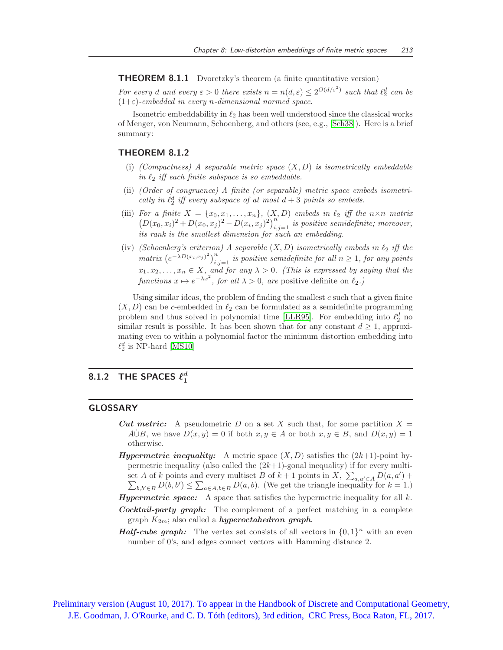THEOREM 8.1.1 Dvoretzky's theorem (a finite quantitative version)

For every d and every  $\varepsilon > 0$  there exists  $n = n(d, \varepsilon) \leq 2^{O(d/\varepsilon^2)}$  such that  $\ell_2^d$  can be  $(1+\varepsilon)$ -embedded in every n-dimensional normed space.

Isometric embeddability in  $\ell_2$  has been well understood since the classical works of Menger, von Neumann, Schoenberg, and others (see, e.g., [\[Sch38\]](#page-20-1)). Here is a brief summary:

### THEOREM 8.1.2

- (i) (Compactness) A separable metric space  $(X, D)$  is isometrically embeddable in  $\ell_2$  iff each finite subspace is so embeddable.
- (ii) (Order of congruence) A finite (or separable) metric space embeds isometrically in  $\ell_2^d$  iff every subspace of at most  $d+3$  points so embeds.
- (iii) For a finite  $X = \{x_0, x_1, \ldots, x_n\}$ ,  $(X, D)$  embeds in  $\ell_2$  iff the  $n \times n$  matrix  $(D(x_0, x_i)^2 + D(x_0, x_j)^2 - D(x_i, x_j)^2)_{i,j=1}^n$  is positive semidefinite; moreover, its rank is the smallest dimension for such an embedding.
- (iv) (Schoenberg's criterion) A separable  $(X, D)$  isometrically embeds in  $\ell_2$  iff the  $matrix\left(e^{-\lambda D(x_i,x_j)^2}\right)_{i,j=1}^n$  is positive semidefinite for all  $n\geq 1$ , for any points  $x_1, x_2, \ldots, x_n \in X$ , and for any  $\lambda > 0$ . (This is expressed by saying that the functions  $x \mapsto e^{-\lambda x^2}$ , for all  $\lambda > 0$ , are positive definite on  $\ell_2$ .)

Using similar ideas, the problem of finding the smallest  $c$  such that a given finite  $(X, D)$  can be c-embedded in  $\ell_2$  can be formulated as a semidefinite programming problem and thus solved in polynomial time [\[LLR95\]](#page-19-0). For embedding into  $\ell_2^d$  no similar result is possible. It has been shown that for any constant  $d \geq 1$ , approximating even to within a polynomial factor the minimum distortion embedding into  $\ell_2^d$  is NP-hard [\[MS10\]](#page-20-2)

# 8.1.2 THE SPACES  $\ell_1^d$

### GLOSSARY

- **Cut metric:** A pseudometric D on a set X such that, for some partition  $X =$ A∪E, we have  $D(x, y) = 0$  if both  $x, y \in A$  or both  $x, y \in B$ , and  $D(x, y) = 1$ otherwise.
- **Hypermetric inequality:** A metric space  $(X, D)$  satisfies the  $(2k+1)$ -point hypermetric inequality (also called the  $(2k+1)$ -gonal inequality) if for every multiset A of k points and every multiset B of  $k+1$  points in X,  $\sum_{a,a'\in A} D(a,a') + \sum_{a',a'\in A} D(a,a')$  $\sum_{b,b'\in B} D(b,b') \leq \sum_{a\in A,b\in B} D(a,b)$ . (We get the triangle inequality for  $k=1$ .)
- **Hypermetric space:** A space that satisfies the hypermetric inequality for all  $k$ .
- Cocktail-party graph: The complement of a perfect matching in a complete graph  $K_{2m}$ ; also called a *hyperoctahedron graph*.
- **Half-cube graph:** The vertex set consists of all vectors in  $\{0,1\}^n$  with an even number of 0's, and edges connect vectors with Hamming distance 2.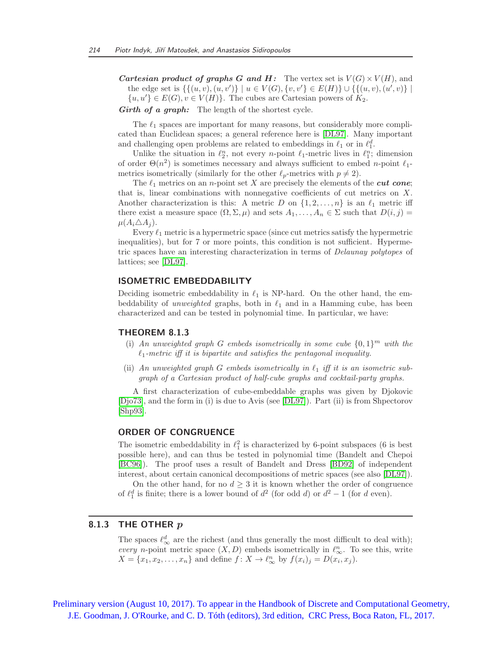**Cartesian product of graphs G and H:** The vertex set is  $V(G) \times V(H)$ , and the edge set is  $\{ \{(u, v), (u, v')\} \mid u \in V(G), \{v, v'\} \in E(H) \} \cup \{ \{(u, v), (u', v)\} \mid$  $\{u, u'\} \in E(G), v \in V(H)\}.$  The cubes are Cartesian powers of  $K_2$ .

Girth of a graph: The length of the shortest cycle.

The  $\ell_1$  spaces are important for many reasons, but considerably more complicated than Euclidean spaces; a general reference here is [\[DL97\]](#page-18-0). Many important and challenging open problems are related to embeddings in  $\ell_1$  or in  $\ell_1^d$ .

Unlike the situation in  $\ell_2^n$ , not every *n*-point  $\ell_1$ -metric lives in  $\ell_1^n$ ; dimension of order  $\Theta(n^2)$  is sometimes necessary and always sufficient to embed n-point  $\ell_1$ metrics isometrically (similarly for the other  $\ell_p$ -metrics with  $p \neq 2$ ).

The  $\ell_1$  metrics on an *n*-point set X are precisely the elements of the *cut cone*; that is, linear combinations with nonnegative coefficients of cut metrics on  $X$ . Another characterization is this: A metric D on  $\{1, 2, \ldots, n\}$  is an  $\ell_1$  metric iff there exist a measure space  $(\Omega, \Sigma, \mu)$  and sets  $A_1, \ldots, A_n \in \Sigma$  such that  $D(i, j)$  $\mu(A_i \triangle A_j)$ .

Every  $\ell_1$  metric is a hypermetric space (since cut metrics satisfy the hypermetric inequalities), but for 7 or more points, this condition is not sufficient. Hypermetric spaces have an interesting characterization in terms of Delaunay polytopes of lattices; see [\[DL97\]](#page-18-0).

#### ISOMETRIC EMBEDDABILITY

Deciding isometric embeddability in  $\ell_1$  is NP-hard. On the other hand, the embeddability of *unweighted* graphs, both in  $\ell_1$  and in a Hamming cube, has been characterized and can be tested in polynomial time. In particular, we have:

#### THEOREM 8.1.3

- (i) An unweighted graph G embeds isometrically in some cube  $\{0,1\}^m$  with the  $\ell_1$ -metric iff it is bipartite and satisfies the pentagonal inequality.
- (ii) An unweighted graph G embeds isometrically in  $\ell_1$  iff it is an isometric subgraph of a Cartesian product of half-cube graphs and cocktail-party graphs.

A first characterization of cube-embeddable graphs was given by Djokovic [\[Djo73\]](#page-18-1), and the form in (i) is due to Avis (see [\[DL97\]](#page-18-0)). Part (ii) is from Shpectorov [\[Shp93\]](#page-20-3).

#### ORDER OF CONGRUENCE

The isometric embeddability in  $\ell_1^2$  is characterized by 6-point subspaces (6 is best possible here), and can thus be tested in polynomial time (Bandelt and Chepoi [\[BC96\]](#page-17-0)). The proof uses a result of Bandelt and Dress [\[BD92\]](#page-17-1) of independent interest, about certain canonical decompositions of metric spaces (see also [\[DL97\]](#page-18-0)).

On the other hand, for no  $d \geq 3$  it is known whether the order of congruence of  $\ell_1^d$  is finite; there is a lower bound of  $d^2$  (for odd d) or  $d^2 - 1$  (for d even).

## 8.1.3 THE OTHER  $p$

The spaces  $\ell_{\infty}^{d}$  are the richest (and thus generally the most difficult to deal with); every *n*-point metric space  $(X, D)$  embeds isometrically in  $\ell_{\infty}^{n}$ . To see this, write  $X = \{x_1, x_2, \ldots, x_n\}$  and define  $f: X \to \ell_{\infty}^n$  by  $f(x_i)_j = D(x_i, x_j)$ .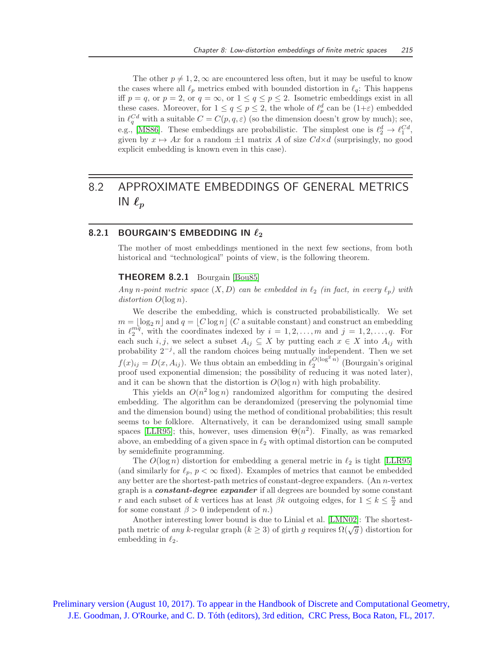The other  $p \neq 1, 2, \infty$  are encountered less often, but it may be useful to know the cases where all  $\ell_p$  metrics embed with bounded distortion in  $\ell_q$ : This happens iff  $p = q$ , or  $p = 2$ , or  $q = \infty$ , or  $1 \le q \le p \le 2$ . Isometric embeddings exist in all these cases. Moreover, for  $1 \le q \le p \le 2$ , the whole of  $\ell_p^d$  can be  $(1+\varepsilon)$  embedded in  $\ell_q^{Cd}$  with a suitable  $C = C(p, q, \varepsilon)$  (so the dimension doesn't grow by much); see, e.g., [\[MS86\]](#page-20-0). These embeddings are probabilistic. The simplest one is  $\ell_2^d \to \ell_1^{Cd}$ , given by  $x \mapsto Ax$  for a random  $\pm 1$  matrix A of size  $Cdx$ d (surprisingly, no good explicit embedding is known even in this case).

# 8.2 APPROXIMATE EMBEDDINGS OF GENERAL METRICS IN  $\ell_p$

# 8.2.1 BOURGAIN'S EMBEDDING IN  $\ell_2$

The mother of most embeddings mentioned in the next few sections, from both historical and "technological" points of view, is the following theorem.

#### THEOREM 8.2.1 Bourgain [\[Bou85\]](#page-17-2)

Any n-point metric space  $(X, D)$  can be embedded in  $\ell_2$  (in fact, in every  $\ell_p$ ) with distortion  $O(\log n)$ .

We describe the embedding, which is constructed probabilistically. We set  $m = \log_2 n |$  and  $q = |C \log n|$  (C a suitable constant) and construct an embedding in  $\ell_2^{mq}$ , with the coordinates indexed by  $i = 1, 2, ..., m$  and  $j = 1, 2, ..., q$ . For each such  $i, j$ , we select a subset  $A_{ij} \subseteq X$  by putting each  $x \in X$  into  $A_{ij}$  with probability  $2^{-j}$ , all the random choices being mutually independent. Then we set  $f(x)_{ij} = D(x, A_{ij})$ . We thus obtain an embedding in  $\ell_2^{O(\log^2 n)}$  (Bourgain's original proof used exponential dimension; the possibility of reducing it was noted later), and it can be shown that the distortion is  $O(\log n)$  with high probability.

This yields an  $O(n^2 \log n)$  randomized algorithm for computing the desired embedding. The algorithm can be derandomized (preserving the polynomial time and the dimension bound) using the method of conditional probabilities; this result seems to be folklore. Alternatively, it can be derandomized using small sample spaces [\[LLR95\]](#page-19-0); this, however, uses dimension  $\Theta(n^2)$ . Finally, as was remarked above, an embedding of a given space in  $\ell_2$  with optimal distortion can be computed by semidefinite programming.

The  $O(\log n)$  distortion for embedding a general metric in  $\ell_2$  is tight [\[LLR95\]](#page-19-0) (and similarly for  $\ell_p$ ,  $p < \infty$  fixed). Examples of metrics that cannot be embedded any better are the shortest-path metrics of constant-degree expanders. (An n-vertex graph is a **constant-degree expander** if all degrees are bounded by some constant r and each subset of k vertices has at least  $\beta k$  outgoing edges, for  $1 \leq k \leq \frac{n}{2}$  and for some constant  $\beta > 0$  independent of n.)

Another interesting lower bound is due to Linial et al. [\[LMN02\]](#page-19-1): The shortestpath metric of *any k*-regular graph  $(k \ge 3)$  of girth g requires  $\Omega(\sqrt{g})$  distortion for embedding in  $\ell_2$ .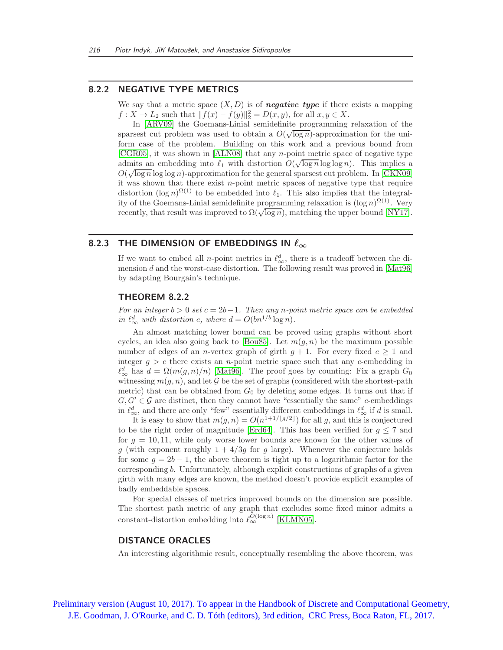### 8.2.2 NEGATIVE TYPE METRICS

We say that a metric space  $(X, D)$  is of **negative type** if there exists a mapping  $f: X \to L_2$  such that  $||f(x) - f(y)||_2^2 = D(x, y)$ , for all  $x, y \in X$ .

In [\[ARV09\]](#page-16-0) the Goemans-Linial semidefinite programming relaxation of the sparsest cut problem was used to obtain a  $O(\sqrt{\log n})$ -approximation for the uniform case of the problem. Building on this work and a previous bound from [\[CGR05\]](#page-17-3), it was shown in [\[ALN08\]](#page-16-1) that any n-point metric space of negative type admits an embedding into  $\ell_1$  with distortion  $O(\sqrt{\log n} \log \log n)$ . This implies a  $O(\sqrt{\log n}\log\log n)$ -approximation for the general sparsest cut problem. In [\[CKN09\]](#page-17-4) it was shown that there exist  $n$ -point metric spaces of negative type that require distortion  $(\log n)^{\Omega(1)}$  to be embedded into  $\ell_1$ . This also implies that the integrality of the Goemans-Linial semidefinite programming relaxation is  $(\log n)^{\Omega(1)}$ . Very recently, that result was improved to  $\Omega(\sqrt{\log n})$ , matching the upper bound [\[NY17\]](#page-20-4).

# 8.2.3 THE DIMENSION OF EMBEDDINGS IN  $\ell_{\infty}$

If we want to embed all *n*-point metrics in  $\ell_{\infty}^d$ , there is a tradeoff between the dimension d and the worst-case distortion. The following result was proved in  $[Mat96]$ by adapting Bourgain's technique.

### THEOREM 8.2.2

For an integer  $b > 0$  set  $c = 2b-1$ . Then any n-point metric space can be embedded in  $\ell_{\infty}^d$  with distortion c, where  $d = O(bn^{1/b} \log n)$ .

An almost matching lower bound can be proved using graphs without short cycles, an idea also going back to [\[Bou85\]](#page-17-2). Let  $m(g, n)$  be the maximum possible number of edges of an *n*-vertex graph of girth  $g + 1$ . For every fixed  $c \ge 1$  and integer  $g > c$  there exists an *n*-point metric space such that any *c*-embedding in  $\ell_{\infty}^{d}$  has  $d = \Omega(m(g, n)/n)$  [\[Mat96\]](#page-19-2). The proof goes by counting: Fix a graph  $G_0$ witnessing  $m(q, n)$ , and let G be the set of graphs (considered with the shortest-path metric) that can be obtained from  $G_0$  by deleting some edges. It turns out that if  $G, G' \in \mathcal{G}$  are distinct, then they cannot have "essentially the same" c-embeddings in  $\ell_{\infty}^d$ , and there are only "few" essentially different embeddings in  $\ell_{\infty}^d$  if d is small.

It is easy to show that  $m(g, n) = O(n^{1+1/\lfloor g/2 \rfloor})$  for all g, and this is conjectured to be the right order of magnitude [\[Erd64\]](#page-18-2). This has been verified for  $q \leq 7$  and for  $q = 10, 11$ , while only worse lower bounds are known for the other values of g (with exponent roughly  $1 + 4/3g$  for g large). Whenever the conjecture holds for some  $g = 2b - 1$ , the above theorem is tight up to a logarithmic factor for the corresponding b. Unfortunately, although explicit constructions of graphs of a given girth with many edges are known, the method doesn't provide explicit examples of badly embeddable spaces.

For special classes of metrics improved bounds on the dimension are possible. The shortest path metric of any graph that excludes some fixed minor admits a constant-distortion embedding into  $\ell_{\infty}^{O(\log n)}$  [\[KLMN05\]](#page-19-3).

#### DISTANCE ORACLES

An interesting algorithmic result, conceptually resembling the above theorem, was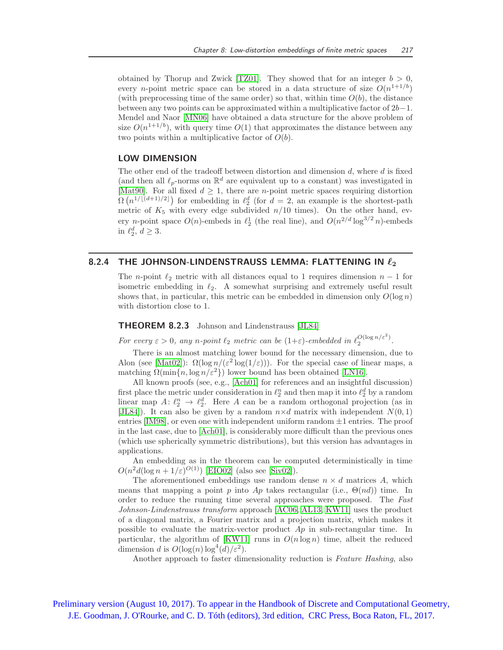obtained by Thorup and Zwick [\[TZ01\]](#page-20-5). They showed that for an integer  $b > 0$ , every *n*-point metric space can be stored in a data structure of size  $O(n^{1+1/b})$ (with preprocessing time of the same order) so that, within time  $O(b)$ , the distance between any two points can be approximated within a multiplicative factor of 2b−1. Mendel and Naor [\[MN06\]](#page-20-6) have obtained a data structure for the above problem of size  $O(n^{1+1/b})$ , with query time  $O(1)$  that approximates the distance between any two points within a multiplicative factor of  $O(b)$ .

## LOW DIMENSION

The other end of the tradeoff between distortion and dimension  $d$ , where  $d$  is fixed (and then all  $\ell_p$ -norms on  $\mathbb{R}^d$  are equivalent up to a constant) was investigated in [\[Mat90\]](#page-19-4). For all fixed  $d \geq 1$ , there are *n*-point metric spaces requiring distortion  $\Omega(n^{1/[(d+1)/2]})$  for embedding in  $\ell_2^d$  (for  $d=2$ , an example is the shortest-path metric of  $K_5$  with every edge subdivided  $n/10$  times). On the other hand, every *n*-point space  $O(n)$ -embeds in  $\ell_2^1$  (the real line), and  $O(n^{2/d} \log^{3/2} n)$ -embeds in  $\ell_2^d, d \geq 3$ .

# 8.2.4 THE JOHNSON-LINDENSTRAUSS LEMMA: FLATTENING IN  $\ell_2$

The n-point  $\ell_2$  metric with all distances equal to 1 requires dimension  $n-1$  for isometric embedding in  $\ell_2$ . A somewhat surprising and extremely useful result shows that, in particular, this metric can be embedded in dimension only  $O(\log n)$ with distortion close to 1.

# THEOREM 8.2.3 Johnson and Lindenstrauss [\[JL84\]](#page-19-5)

For every  $\varepsilon > 0$ , any n-point  $\ell_2$  metric can be  $(1+\varepsilon)$ -embedded in  $\ell_2^{{\mathcal{O}}(\log n/\varepsilon^2)}$ .

There is an almost matching lower bound for the necessary dimension, due to Alon (see [\[Mat02\]](#page-20-7)):  $\Omega(\log n/(\varepsilon^2 \log(1/\varepsilon)))$ . For the special case of linear maps, a matching  $\Omega(\min\{n, \log n/\varepsilon^2\})$  lower bound has been obtained [\[LN16\]](#page-19-6).

All known proofs (see, e.g., [\[Ach01\]](#page-16-2) for references and an insightful discussion) first place the metric under consideration in  $\ell_2^n$  and then map it into  $\ell_2^d$  by a random linear map  $A: \ell_2^n \to \ell_2^d$ . Here A can be a random orthogonal projection (as in [\[JL84\]](#page-19-5)). It can also be given by a random  $n \times d$  matrix with independent  $N(0, 1)$ entries [\[IM98\]](#page-19-7), or even one with independent uniform random  $\pm 1$  entries. The proof in the last case, due to [\[Ach01\]](#page-16-2), is considerably more difficult than the previous ones (which use spherically symmetric distributions), but this version has advantages in applications.

An embedding as in the theorem can be computed deterministically in time  $O(n^2d(\log n + 1/\varepsilon)^{O(1)})$  [\[EIO02\]](#page-18-3) (also see [\[Siv02\]](#page-20-8)).

The aforementioned embeddings use random dense  $n \times d$  matrices A, which means that mapping a point p into  $Ap$  takes rectangular (i.e.,  $\Theta(nd)$ ) time. In order to reduce the running time several approaches were proposed. The Fast Johnson-Lindenstrauss transform approach [\[AC06,](#page-16-3) [AL13,](#page-16-4) [KW11\]](#page-19-8) uses the product of a diagonal matrix, a Fourier matrix and a projection matrix, which makes it possible to evaluate the matrix-vector product  $Ap$  in sub-rectangular time. In particular, the algorithm of [\[KW11\]](#page-19-8) runs in  $O(n \log n)$  time, albeit the reduced dimension d is  $O(\log(n)\log^4(d)/{\varepsilon}^2)$ .

Another approach to faster dimensionality reduction is Feature Hashing, also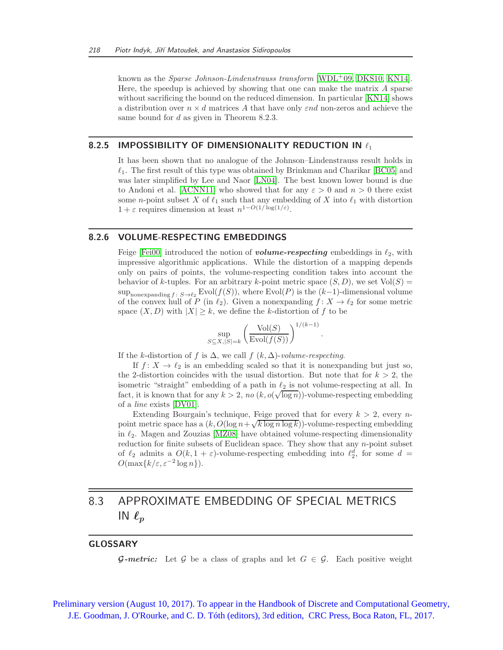known as the *Sparse Johnson-Lindenstrauss transform* [\[WDL](#page-20-9)<sup>+</sup>09, [DKS10,](#page-18-4) [KN14\]](#page-19-9). Here, the speedup is achieved by showing that one can make the matrix A sparse without sacrificing the bound on the reduced dimension. In particular [\[KN14\]](#page-19-9) shows a distribution over  $n \times d$  matrices A that have only  $\varepsilon nd$  non-zeros and achieve the same bound for d as given in Theorem 8.2.3.

### 8.2.5 IMPOSSIBILITY OF DIMENSIONALITY REDUCTION IN  $\ell_1$

It has been shown that no analogue of the Johnson–Lindenstrauss result holds in  $\ell_1$ . The first result of this type was obtained by Brinkman and Charikar [\[BC05\]](#page-17-5) and was later simplified by Lee and Naor [\[LN04\]](#page-19-10). The best known lower bound is due to Andoni et al. [\[ACNN11\]](#page-16-5) who showed that for any  $\varepsilon > 0$  and  $n > 0$  there exist some n-point subset X of  $\ell_1$  such that any embedding of X into  $\ell_1$  with distortion  $1 + \varepsilon$  requires dimension at least  $n^{1 - O(1/\log(1/\varepsilon))}$ .

# 8.2.6 VOLUME-RESPECTING EMBEDDINGS

Feige [\[Fei00\]](#page-18-5) introduced the notion of **volume-respecting** embeddings in  $\ell_2$ , with impressive algorithmic applications. While the distortion of a mapping depends only on pairs of points, the volume-respecting condition takes into account the behavior of k-tuples. For an arbitrary k-point metric space  $(S, D)$ , we set  $Vol(S)$  =  $\sup_{\text{nonexpanding } f \colon S \to \ell_2} \text{Evol}(f(S))$ , where  $\text{Evol}(P)$  is the  $(k-1)$ -dimensional volume of the convex hull of P (in  $\ell_2$ ). Given a nonexpanding  $f: X \to \ell_2$  for some metric space  $(X, D)$  with  $|X| \geq k$ , we define the k-distortion of f to be

$$
\sup_{S \subseteq X, |S|=k} \left( \frac{\text{Vol}(S)}{\text{Evol}(f(S))} \right)^{1/(k-1)}.
$$

If the k-distortion of f is  $\Delta$ , we call f  $(k, \Delta)$ -volume-respecting.

If  $f: X \to \ell_2$  is an embedding scaled so that it is nonexpanding but just so, the 2-distortion coincides with the usual distortion. But note that for  $k > 2$ , the isometric "straight" embedding of a path in  $\ell_2$  is not volume-respecting at all. In fact, it is known that for any  $k > 2$ , no  $(k, o(\sqrt{\log n}))$ -volume-respecting embedding of a line exists [\[DV01\]](#page-18-6).

Extending Bourgain's technique, Feige proved that for every  $k > 2$ , every npoint metric space has a  $(k, O(\log n + \sqrt{k \log n \log k}))$ -volume-respecting embedding in  $\ell_2$ . Magen and Zouzias [\[MZ08\]](#page-20-10) have obtained volume-respecting dimensionality reduction for finite subsets of Euclidean space. They show that any n-point subset of  $\ell_2$  admits a  $O(k, 1 + \varepsilon)$ -volume-respecting embedding into  $\ell_2^d$ , for some  $d =$  $O(\max\{k/\varepsilon, \varepsilon^{-2} \log n\}).$ 

# 8.3 APPROXIMATE EMBEDDING OF SPECIAL METRICS IN  $\ell_p$

# GLOSSARY

**G-metric:** Let G be a class of graphs and let  $G \in \mathcal{G}$ . Each positive weight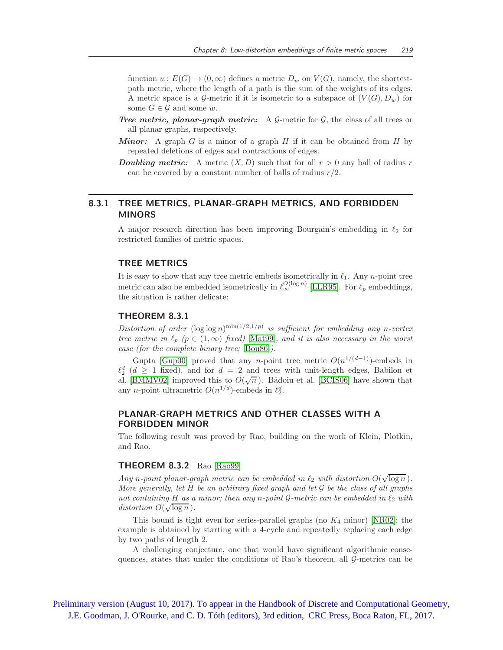function  $w: E(G) \to (0, \infty)$  defines a metric  $D_w$  on  $V(G)$ , namely, the shortestpath metric, where the length of a path is the sum of the weights of its edges. A metric space is a G-metric if it is isometric to a subspace of  $(V(G), D_w)$  for some  $G \in \mathcal{G}$  and some w.

- **Tree metric, planar-graph metric:** A  $\mathcal{G}$ -metric for  $\mathcal{G}$ , the class of all trees or all planar graphs, respectively.
- **Minor:** A graph G is a minor of a graph H if it can be obtained from H by repeated deletions of edges and contractions of edges.
- **Doubling metric:** A metric  $(X, D)$  such that for all  $r > 0$  any ball of radius r can be covered by a constant number of balls of radius  $r/2$ .

# 8.3.1 TREE METRICS, PLANAR-GRAPH METRICS, AND FORBIDDEN MINORS

A major research direction has been improving Bourgain's embedding in  $\ell_2$  for restricted families of metric spaces.

#### TREE METRICS

It is easy to show that any tree metric embeds isometrically in  $\ell_1$ . Any n-point tree metric can also be embedded isometrically in  $\ell_{\infty}^{O(\log n)}$  [\[LLR95\]](#page-19-0). For  $\ell_p$  embeddings, the situation is rather delicate:

#### THEOREM 8.3.1

Distortion of order  $(\log \log n)^{\min(1/2,1/p)}$  is sufficient for embedding any n-vertex tree metric in  $\ell_p$  ( $p \in (1,\infty)$  fixed) [\[Mat99\]](#page-20-11), and it is also necessary in the worst case (for the complete binary tree; [\[Bou86\]](#page-17-6)).

Gupta [\[Gup00\]](#page-18-7) proved that any *n*-point tree metric  $O(n^{1/(d-1)})$ -embeds in  $\ell_2^d$  ( $d \geq 1$  fixed), and for  $d = 2$  and trees with unit-length edges, Babilon et al. [\[BMMV02\]](#page-17-7) improved this to  $O(\sqrt{n})$ . Bǎdoiu et al. [\[BCIS06\]](#page-17-8) have shown that any *n*-point ultrametric  $O(n^{1/d})$ -embeds in  $\ell_2^d$ .

# PLANAR-GRAPH METRICS AND OTHER CLASSES WITH A FORBIDDEN MINOR

The following result was proved by Rao, building on the work of Klein, Plotkin, and Rao.

#### **THEOREM 8.3.2** Rao [\[Rao99\]](#page-20-12)

Any n-point planar-graph metric can be embedded in  $\ell_2$  with distortion  $O(\sqrt{\log n})$ . More generally, let  $H$  be an arbitrary fixed graph and let  $\mathcal G$  be the class of all graphs not containing H as a minor; then any n-point  $\mathcal G$ -metric can be embedded in  $\ell_2$  with distortion  $O(\sqrt{\log n})$ .

This bound is tight even for series-parallel graphs (no  $K_4$  minor) [\[NR02\]](#page-20-13); the example is obtained by starting with a 4-cycle and repeatedly replacing each edge by two paths of length 2.

A challenging conjecture, one that would have significant algorithmic consequences, states that under the conditions of Rao's theorem, all  $\mathcal{G}_{\text{-}}$  metrics can be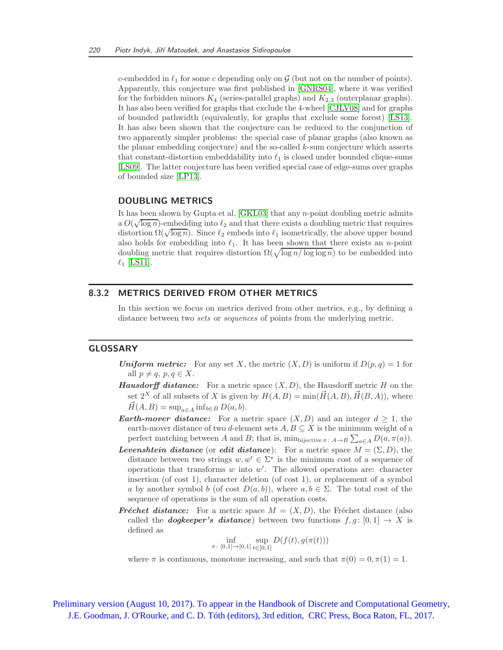c-embedded in  $\ell_1$  for some c depending only on  $\mathcal G$  (but not on the number of points). Apparently, this conjecture was first published in [\[GNRS04\]](#page-18-8), where it was verified for the forbidden minors  $K_4$  (series-parallel graphs) and  $K_{2,3}$  (outerplanar graphs). It has also been verified for graphs that exclude the 4-wheel [\[CJLV08\]](#page-17-9) and for graphs of bounded pathwidth (equivalently, for graphs that exclude some forest) [\[LS13\]](#page-19-11). It has also been shown that the conjecture can be reduced to the conjunction of two apparently simpler problems: the special case of planar graphs (also known as the planar embedding conjecture) and the so-called k-sum conjecture which asserts that constant-distortion embeddability into  $\ell_1$  is closed under bounded clique-sums [\[LS09\]](#page-19-12). The latter conjecture has been verified special case of edge-sums over graphs of bounded size [\[LP13\]](#page-19-13).

#### DOUBLING METRICS

It has been shown by Gupta et al. [\[GKL03\]](#page-18-9) that any  $n$ -point doubling metric admits a  $O(\sqrt{\log n})$ -embedding into  $\ell_2$  and that there exists a doubling metric that requires distortion  $\Omega(\sqrt{\log n})$ . Since  $\ell_2$  embeds into  $\ell_1$  isometrically, the above upper bound also holds for embedding into  $\ell_1$ . It has been shown that there exists an *n*-point doubling metric that requires distortion  $\Omega(\sqrt{\log n/\log \log n})$  to be embedded into  $\ell_1$  [\[LS11\]](#page-19-14).

# 8.3.2 METRICS DERIVED FROM OTHER METRICS

In this section we focus on metrics derived from other metrics, e.g., by defining a distance between two *sets* or *sequences* of points from the underlying metric.

## GLOSSARY

- **Uniform metric:** For any set X, the metric  $(X, D)$  is uniform if  $D(p, q) = 1$  for all  $p \neq q, p, q \in X$ .
- **Hausdorff distance:** For a metric space  $(X, D)$ , the Hausdorff metric H on the set  $2^X$  of all subsets of X is given by  $H(A, B) = \min(\vec{H}(A, B), \vec{H}(B, A))$ , where  $\vec{H}(A, B) = \sup_{a \in A} \inf_{b \in B} D(a, b).$
- **Earth-mover distance:** For a metric space  $(X, D)$  and an integer  $d \geq 1$ , the earth-mover distance of two d-element sets  $A, B \subseteq X$  is the minimum weight of a perfect matching between A and B; that is,  $\min_{\text{bijective }\pi \colon A \to B} \sum_{a \in A} D(a, \pi(a)).$
- **Levenshtein distance** (or **edit distance**): For a metric space  $M = (\Sigma, D)$ , the distance between two strings  $w, w' \in \Sigma^*$  is the minimum cost of a sequence of operations that transforms  $w$  into  $w'$ . The allowed operations are: character insertion (of cost 1), character deletion (of cost 1), or replacement of a symbol a by another symbol b (of cost  $D(a, b)$ ), where  $a, b \in \Sigma$ . The total cost of the sequence of operations is the sum of all operation costs.
- **Fréchet distance:** For a metric space  $M = (X, D)$ , the Fréchet distance (also called the **dogkeeper's distance**) between two functions  $f, g : [0, 1] \rightarrow X$  is defined as

$$
\inf_{\pi\colon [0,1]\to [0,1]} \sup_{t\in [0,1]} D(f(t),g(\pi(t)))
$$

where  $\pi$  is continuous, monotone increasing, and such that  $\pi(0) = 0, \pi(1) = 1$ .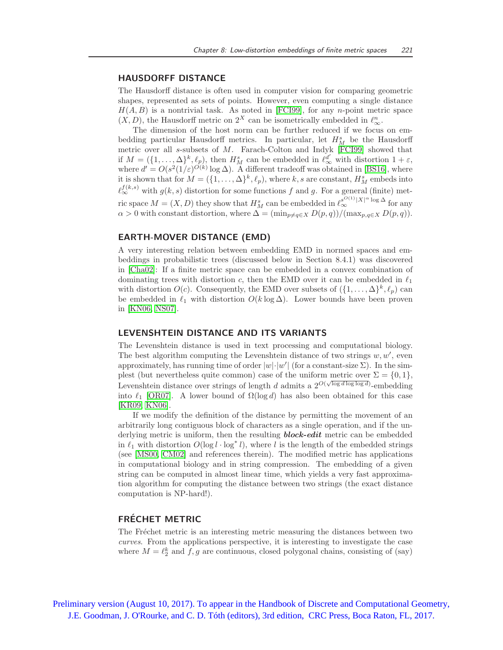#### HAUSDORFF DISTANCE

The Hausdorff distance is often used in computer vision for comparing geometric shapes, represented as sets of points. However, even computing a single distance  $H(A, B)$  is a nontrivial task. As noted in [\[FCI99\]](#page-18-10), for any *n*-point metric space  $(X, D)$ , the Hausdorff metric on  $2^X$  can be isometrically embedded in  $\ell_{\infty}^n$ .

The dimension of the host norm can be further reduced if we focus on embedding particular Hausdorff metrics. In particular, let  $H_M^s$  be the Hausdorff metric over all s-subsets of M. Farach-Colton and Indyk [\[FCI99\]](#page-18-10) showed that if  $M = (\{1, \ldots, \Delta\}^k, \ell_p)$ , then  $H_M^s$  can be embedded in  $\ell_\infty^{d'}$  with distortion  $1 + \varepsilon$ , where  $d' = O(s^2(1/\varepsilon)^{O(k)} \log \Delta)$ . A different tradeoff was obtained in [\[BS16\]](#page-17-10), where it is shown that for  $M = (\{1, \ldots, \Delta\}^k, \ell_p)$ , where k, s are constant,  $H_M^s$  embeds into  $\ell_{\infty}^{f(k,s)}$  with  $g(k,s)$  distortion for some functions f and g. For a general (finite) metric space  $M = (X, D)$  they show that  $H_M^s$  can be embedded in  $\ell_{\infty}^{s^{O(1)}|X|^{\alpha}} \log \Delta$  for any  $\alpha > 0$  with constant distortion, where  $\Delta = (\min_{p \neq q \in X} D(p,q)) / (\max_{p,q \in X} D(p,q)).$ 

#### EARTH-MOVER DISTANCE (EMD)

A very interesting relation between embedding EMD in normed spaces and embeddings in probabilistic trees (discussed below in Section 8.4.1) was discovered in [\[Cha02\]](#page-17-11): If a finite metric space can be embedded in a convex combination of dominating trees with distortion c, then the EMD over it can be embedded in  $\ell_1$ with distortion  $O(c)$ . Consequently, the EMD over subsets of  $(\{1, \ldots, \Delta\}^k, \ell_p)$  can be embedded in  $\ell_1$  with distortion  $O(k \log \Delta)$ . Lower bounds have been proven in [\[KN06,](#page-19-15) [NS07\]](#page-20-14).

### LEVENSHTEIN DISTANCE AND ITS VARIANTS

The Levenshtein distance is used in text processing and computational biology. The best algorithm computing the Levenshtein distance of two strings  $w, w'$ , even approximately, has running time of order  $|w| \cdot |w'|$  (for a constant-size  $\Sigma$ ). In the simplest (but nevertheless quite common) case of the uniform metric over  $\Sigma = \{0, 1\}$ , Levenshtein distance over strings of length d admits a  $2^{O(\sqrt{\log d \log \log d})}$ -embedding into  $\ell_1$  [\[OR07\]](#page-20-15). A lower bound of  $\Omega(\log d)$  has also been obtained for this case [\[KR09,](#page-19-16) [KN06\]](#page-19-15).

If we modify the definition of the distance by permitting the movement of an arbitrarily long contiguous block of characters as a single operation, and if the underlying metric is uniform, then the resulting **block-edit** metric can be embedded in  $\ell_1$  with distortion  $O(\log l \cdot \log^* l)$ , where l is the length of the embedded strings (see [\[MS00,](#page-20-16) [CM02\]](#page-17-12) and references therein). The modified metric has applications in computational biology and in string compression. The embedding of a given string can be computed in almost linear time, which yields a very fast approximation algorithm for computing the distance between two strings (the exact distance computation is NP-hard!).

# FRÉCHET METRIC

The Fréchet metric is an interesting metric measuring the distances between two curves. From the applications perspective, it is interesting to investigate the case where  $M = \ell_2^k$  and  $f, g$  are continuous, closed polygonal chains, consisting of (say)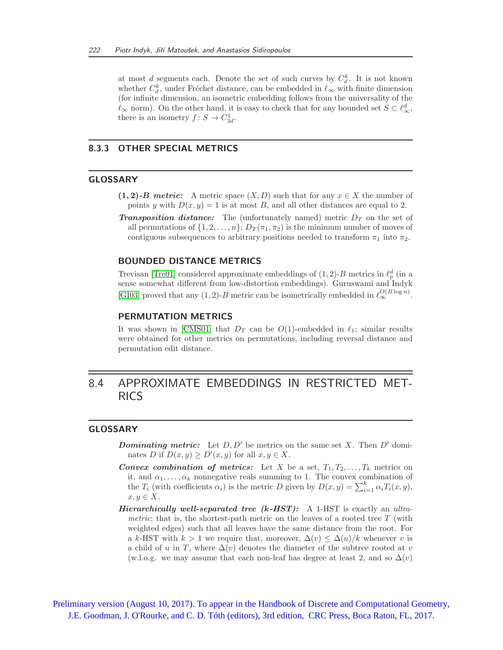at most d segments each. Denote the set of such curves by  $C_d^k$ . It is not known whether  $C_d^k$ , under Fréchet distance, can be embedded in  $\ell_{\infty}$  with finite dimension (for infinite dimension, an isometric embedding follows from the universality of the  $\ell_{\infty}$  norm). On the other hand, it is easy to check that for any bounded set  $S \subset \ell_{\infty}^d$ , there is an isometry  $f: S \to C_{3d}^1$ .

# 8.3.3 OTHER SPECIAL METRICS

### GLOSSARY

- $(1, 2)$ -B metric: A metric space  $(X, D)$  such that for any  $x \in X$  the number of points y with  $D(x, y) = 1$  is at most B, and all other distances are equal to 2.
- **Transposition distance:** The (unfortunately named) metric  $D<sub>T</sub>$  on the set of all permutations of  $\{1, 2, \ldots, n\}$ ;  $D_T(\pi_1, \pi_2)$  is the minimum number of moves of contiguous subsequences to arbitrary positions needed to transform  $\pi_1$  into  $\pi_2$ .

#### BOUNDED DISTANCE METRICS

Trevisan [\[Tre01\]](#page-20-17) considered approximate embeddings of  $(1, 2)$ -B metrics in  $\ell_p^d$  (in a sense somewhat different from low-distortion embeddings). Guruswami and Indyk [\[GI03\]](#page-18-11) proved that any (1, 2)-B metric can be isometrically embedded in  $\ell_{\infty}^{O(B \log n)}$ .

## PERMUTATION METRICS

It was shown in [\[CMS01\]](#page-17-13) that  $D_T$  can be  $O(1)$ -embedded in  $\ell_1$ ; similar results were obtained for other metrics on permutations, including reversal distance and permutation edit distance.

# 8.4 APPROXIMATE EMBEDDINGS IN RESTRICTED MET-RICS

# GLOSSARY

- **Dominating metric:** Let  $D, D'$  be metrics on the same set X. Then  $D'$  dominates D if  $D(x, y) \ge D'(x, y)$  for all  $x, y \in X$ .
- **Convex combination of metrics:** Let X be a set,  $T_1, T_2, \ldots, T_k$  metrics on it, and  $\alpha_1, \ldots, \alpha_k$  nonnegative reals summing to 1. The convex combination of the  $T_i$  (with coefficients  $\alpha_i$ ) is the metric D given by  $D(x, y) = \sum_{i=1}^k \alpha_i T_i(x, y)$ ,  $x, y \in X$ .
- Hierarchically well-separated tree  $(k$ -HST): A 1-HST is exactly an ultrametric; that is, the shortest-path metric on the leaves of a rooted tree  $T$  (with weighted edges) such that all leaves have the same distance from the root. For a k-HST with  $k > 1$  we require that, moreover,  $\Delta(v) \leq \Delta(u)/k$  whenever v is a child of u in T, where  $\Delta(v)$  denotes the diameter of the subtree rooted at v (w.l.o.g. we may assume that each non-leaf has degree at least 2, and so  $\Delta(v)$ )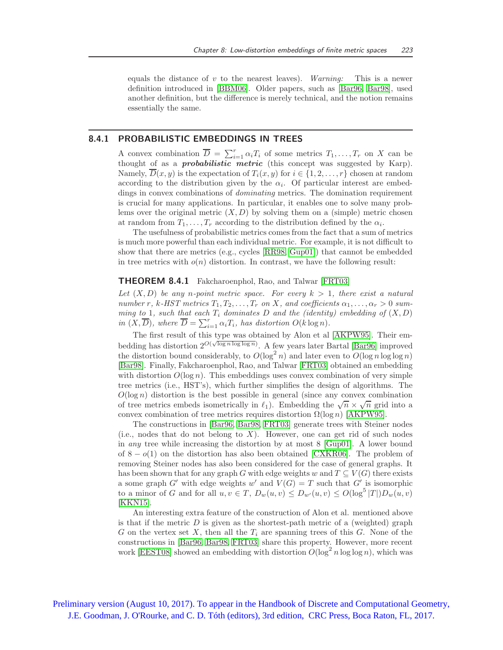equals the distance of v to the nearest leaves). Warning: This is a newer definition introduced in [\[BBM06\]](#page-17-14). Older papers, such as [\[Bar96,](#page-16-6) [Bar98\]](#page-16-7), used another definition, but the difference is merely technical, and the notion remains essentially the same.

#### 8.4.1 PROBABILISTIC EMBEDDINGS IN TREES

A convex combination  $\overline{D} = \sum_{i=1}^r \alpha_i T_i$  of some metrics  $T_1, \ldots, T_r$  on X can be thought of as a **probabilistic** metric (this concept was suggested by Karp). Namely,  $\overline{D}(x, y)$  is the expectation of  $T_i(x, y)$  for  $i \in \{1, 2, ..., r\}$  chosen at random according to the distribution given by the  $\alpha_i$ . Of particular interest are embeddings in convex combinations of dominating metrics. The domination requirement is crucial for many applications. In particular, it enables one to solve many problems over the original metric  $(X, D)$  by solving them on a (simple) metric chosen at random from  $T_1, \ldots, T_r$  according to the distribution defined by the  $\alpha_i$ .

The usefulness of probabilistic metrics comes from the fact that a sum of metrics is much more powerful than each individual metric. For example, it is not difficult to show that there are metrics (e.g., cycles [\[RR98,](#page-20-18) [Gup01\]](#page-18-12)) that cannot be embedded in tree metrics with  $o(n)$  distortion. In contrast, we have the following result:

#### THEOREM 8.4.1 Fakcharoenphol, Rao, and Talwar [\[FRT03\]](#page-18-13)

Let  $(X, D)$  be any n-point metric space. For every  $k > 1$ , there exist a natural number r, k-HST metrics  $T_1, T_2, \ldots, T_r$  on X, and coefficients  $\alpha_1, \ldots, \alpha_r > 0$  summing to 1, such that each  $T_i$  dominates D and the (identity) embedding of  $(X, D)$ in  $(X,\overline{D})$ , where  $\overline{D} = \sum_{i=1}^r \alpha_i T_i$ , has distortion  $O(k \log n)$ .

The first result of this type was obtained by Alon et al [\[AKPW95\]](#page-16-8). Their embedding has distortion  $2^{O(\sqrt{\log n \log \log n})}$ . A few years later Bartal [\[Bar96\]](#page-16-6) improved the distortion bound considerably, to  $O(\log^2 n)$  and later even to  $O(\log n \log \log n)$ [\[Bar98\]](#page-16-7). Finally, Fakcharoenphol, Rao, and Talwar [\[FRT03\]](#page-18-13) obtained an embedding with distortion  $O(\log n)$ . This embeddings uses convex combination of very simple tree metrics (i.e., HST's), which further simplifies the design of algorithms. The  $O(\log n)$  distortion is the best possible in general (since any convex combination of tree metrics embeds isometrically in  $\ell_1$ ). Embedding the  $\sqrt{n} \times \sqrt{n}$  grid into a convex combination of tree metrics requires distortion  $\Omega(\log n)$  [\[AKPW95\]](#page-16-8).

The constructions in [\[Bar96,](#page-16-6) [Bar98,](#page-16-7) [FRT03\]](#page-18-13) generate trees with Steiner nodes (i.e., nodes that do not belong to  $X$ ). However, one can get rid of such nodes in any tree while increasing the distortion by at most 8 [\[Gup01\]](#page-18-12). A lower bound of  $8 - o(1)$  on the distortion has also been obtained [\[CXKR06\]](#page-18-14). The problem of removing Steiner nodes has also been considered for the case of general graphs. It has been shown that for any graph G with edge weights w and  $T \subseteq V(G)$  there exists a some graph G' with edge weights w' and  $V(G) = T$  such that G' is isomorphic to a minor of G and for all  $u, v \in T$ ,  $D_w(u, v) \le D_{w'}(u, v) \le O(\log^5 |T|)D_w(u, v)$ [\[KKN15\]](#page-19-17).

An interesting extra feature of the construction of Alon et al. mentioned above is that if the metric  $D$  is given as the shortest-path metric of a (weighted) graph G on the vertex set X, then all the  $T_i$  are spanning trees of this G. None of the constructions in [\[Bar96,](#page-16-6) [Bar98,](#page-16-7) [FRT03\]](#page-18-13) share this property. However, more recent work [\[EEST08\]](#page-18-15) showed an embedding with distortion  $O(\log^2 n \log \log n)$ , which was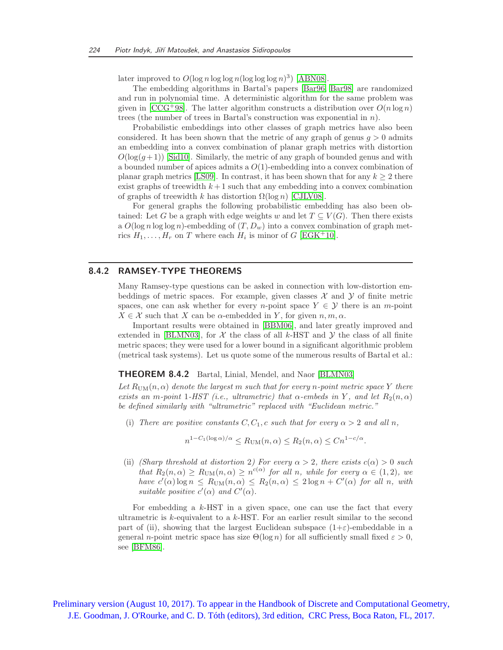later improved to  $O(\log n \log \log n (\log \log \log n)^3)$  [\[ABN08\]](#page-16-9).

The embedding algorithms in Bartal's papers [\[Bar96,](#page-16-6) [Bar98\]](#page-16-7) are randomized and run in polynomial time. A deterministic algorithm for the same problem was given in [\[CCG](#page-17-15)+98]. The latter algorithm constructs a distribution over  $O(n \log n)$ trees (the number of trees in Bartal's construction was exponential in n).

Probabilistic embeddings into other classes of graph metrics have also been considered. It has been shown that the metric of any graph of genus  $q > 0$  admits an embedding into a convex combination of planar graph metrics with distortion  $O(\log(q+1))$  [\[Sid10\]](#page-20-19). Similarly, the metric of any graph of bounded genus and with a bounded number of apices admits a  $O(1)$ -embedding into a convex combination of planar graph metrics [\[LS09\]](#page-19-12). In contrast, it has been shown that for any  $k \geq 2$  there exist graphs of treewidth  $k+1$  such that any embedding into a convex combination of graphs of treewidth k has distortion  $\Omega(\log n)$  [\[CJLV08\]](#page-17-9).

For general graphs the following probabilistic embedding has also been obtained: Let G be a graph with edge weights w and let  $T \subseteq V(G)$ . Then there exists a  $O(\log n \log \log n)$ -embedding of  $(T, D_w)$  into a convex combination of graph metrics  $H_1, \ldots, H_r$  on T where each  $H_i$  is minor of G [\[EGK](#page-18-16)<sup>+</sup>10].

### 8.4.2 RAMSEY-TYPE THEOREMS

Many Ramsey-type questions can be asked in connection with low-distortion embeddings of metric spaces. For example, given classes  $\mathcal X$  and  $\mathcal Y$  of finite metric spaces, one can ask whether for every n-point space  $Y \in \mathcal{Y}$  there is an m-point  $X \in \mathcal{X}$  such that X can be  $\alpha$ -embedded in Y, for given  $n, m, \alpha$ .

Important results were obtained in [\[BBM06\]](#page-17-14), and later greatly improved and extended in [\[BLMN03\]](#page-17-16), for  $\mathcal X$  the class of all k-HST and  $\mathcal Y$  the class of all finite metric spaces; they were used for a lower bound in a significant algorithmic problem (metrical task systems). Let us quote some of the numerous results of Bartal et al.:

#### THEOREM 8.4.2 Bartal, Linial, Mendel, and Naor [\[BLMN03\]](#page-17-16)

Let  $R_{\text{UM}}(n,\alpha)$  denote the largest m such that for every n-point metric space Y there exists an m-point 1-HST (i.e., ultrametric) that  $\alpha$ -embeds in Y, and let  $R_2(n,\alpha)$ be defined similarly with "ultrametric" replaced with "Euclidean metric."

(i) There are positive constants  $C, C_1, c$  such that for every  $\alpha > 2$  and all n,

$$
n^{1-C_1(\log \alpha)/\alpha} \le R_{\text{UM}}(n,\alpha) \le R_2(n,\alpha) \le Cn^{1-c/\alpha}.
$$

(ii) (Sharp threshold at distortion 2) For every  $\alpha > 2$ , there exists  $c(\alpha) > 0$  such that  $R_2(n,\alpha) \ge R_{\text{UM}}(n,\alpha) \ge n^{c(\alpha)}$  for all n, while for every  $\alpha \in (1,2)$ , we have  $c'(\alpha) \log n \leq R_{\text{UM}}(n, \alpha) \leq R_2(n, \alpha) \leq 2 \log n + C'(\alpha)$  for all n, with suitable positive  $c'(\alpha)$  and  $C'(\alpha)$ .

For embedding a  $k$ -HST in a given space, one can use the fact that every ultrametric is  $k$ -equivalent to a  $k$ -HST. For an earlier result similar to the second part of (ii), showing that the largest Euclidean subspace  $(1+\varepsilon)$ -embeddable in a general n-point metric space has size  $\Theta(\log n)$  for all sufficiently small fixed  $\varepsilon > 0$ , see [\[BFM86\]](#page-17-17).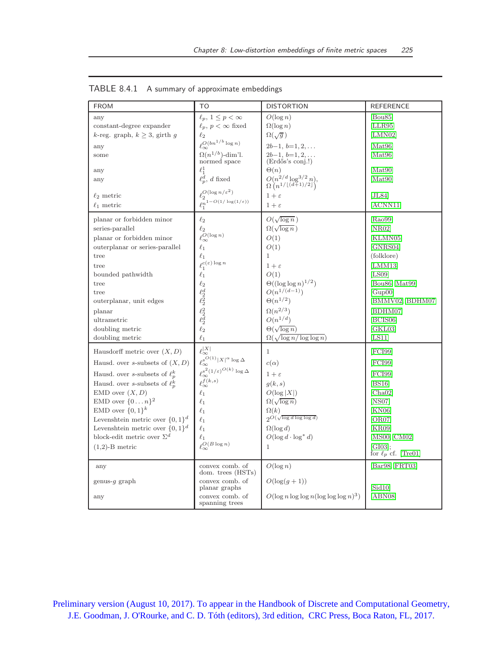| <b>FROM</b>                                                                                                                                                                                                                                                                                                                                                                                    | T <sub>O</sub>                                                                                                                                                                                                                                                                                                                                                                             | <b>DISTORTION</b>                                                                                                                                                                                                                                                                                         | <b>REFERENCE</b>                                                                                                                                                                          |
|------------------------------------------------------------------------------------------------------------------------------------------------------------------------------------------------------------------------------------------------------------------------------------------------------------------------------------------------------------------------------------------------|--------------------------------------------------------------------------------------------------------------------------------------------------------------------------------------------------------------------------------------------------------------------------------------------------------------------------------------------------------------------------------------------|-----------------------------------------------------------------------------------------------------------------------------------------------------------------------------------------------------------------------------------------------------------------------------------------------------------|-------------------------------------------------------------------------------------------------------------------------------------------------------------------------------------------|
| any<br>constant-degree expander<br>k-reg. graph, $k \geq 3$ , girth g<br>any<br>some<br>any<br>any<br>$\ell_2$ metric<br>$\ell_1$ metric                                                                                                                                                                                                                                                       | $\ell_p, 1 \leq p < \infty$<br>$\ell_p, p < \infty$ fixed<br>$\ell_2$<br>$\ell_{\infty}^{O(bn^{1/b}\log n)}$<br>$\Omega(n^{1/b})$ -dim'l.<br>normed space<br>$\ell_1^1$<br>$\ell_p^{\overline{d}}$ , d fixed<br>$\rho^O(\log n/\varepsilon^2)$<br>$\int_{0}^{\infty} 1 - O(1/\log(1/\varepsilon))$                                                                                         | $O(\log n)$<br>$\Omega(\log n)$<br>$\Omega(\sqrt{g})$<br>$2b-1, b=1, 2, \ldots$<br>$2b-1, b=1, 2, \ldots$<br>$(End\tilde{\omega}s$ 's conj.!)<br>$\Theta(n)$<br>$O(n^{2/d} \log^{3/2} n)$ , $\Omega(n^{1/\lfloor (d+1)/2 \rfloor})$<br>$1+\varepsilon$<br>$1+\varepsilon$                                 | [Bou85]<br>[LLR95]<br>[LMN02]<br>[Mat96]<br>[Mat96]<br>[Mat90]<br>[Mat90]<br>[JL84]<br>[ACNN11]                                                                                           |
| planar or forbidden minor<br>series-parallel<br>planar or forbidden minor<br>outerplanar or series-parallel<br>tree<br>tree<br>bounded pathwidth<br>tree<br>tree<br>outerplanar, unit edges<br>planar<br>ultrametric<br>doubling metric<br>doubling metric                                                                                                                                     | $\ell_2$<br>$\ell_2$<br>$\ell_\infty^{O(\log n)}$<br>$\ell_1$<br>$\ell_1$<br>$\ell_1^{c(\varepsilon)\log n}$<br>$\ell_1$<br>$\ell_2$<br>$\frac{\ell_2^d}{\ell_2^2}$<br>$\ell_2$<br>$\ell_1$                                                                                                                                                                                                | $O(\sqrt{\log n})$<br>$\Omega(\sqrt{\log n})$<br>O(1)<br>O(1)<br>$\mathbf{1}$<br>$1+\varepsilon$<br>O(1)<br>$\Theta((\log \log n)^{1/2})$<br>$O(n^{1/(d-1)})$<br>$\Theta(n^{1/2})$<br>$\Omega(n^{2/3})$<br>$O(n^{1/d})$<br>$\Theta(\sqrt{\log n})$<br>$\Omega(\sqrt{\log n/\log\log n})$                  | [Ra099]<br>[NR02]<br>[KLMN05]<br>[GNRS04]<br>(folklore)<br>[LMM13]<br>[LS09]<br>[Bou86, Mat99]<br>[Gup00]<br>[BMMV02, BDHM07]<br>[BDHM07]<br>[BCIS06]<br>[GKL03]<br>[LS11]                |
| Hausdorff metric over $(X, D)$<br>Hausd. over s-subsets of $(X, D)$<br>Hausd. over s-subsets of $\ell_n^k$<br>Hausd. over s-subsets of $\ell_n^k$<br>$EMD$ over $(X, D)$<br>EMD over $\{0n\}^2$<br>EMD over $\{0,1\}^k$<br>Levenshtein metric over $\{0,1\}^d$<br>Levenshtein metric over $\{0,1\}^d$<br>block-edit metric over $\Sigma^d$<br>$(1,2)$ -B metric<br>any<br>genus-q graph<br>any | $\ell_{\infty}^{ X }$<br>$\ell_{\infty}^{s^{O(1)}  X ^{\alpha} \log \Delta}$<br>$\ell_\infty^{s^2(1/\varepsilon)^{O(k)}}\log \Delta$<br>$\ell_{\infty}^{f(k,s)}$<br>$\ell_1$<br>$\ell_1$<br>$\ell_1$<br>$\ell_1$<br>$\ell_1$<br>$\ell_1$<br>$\ell_{\infty}^{O(B \log n)}$<br>convex comb. of<br>dom. trees (HSTs)<br>convex comb. of<br>planar graphs<br>convex comb. of<br>spanning trees | $\mathbf{1}$<br>$c(\alpha)$<br>$1+\varepsilon$<br>q(k,s)<br>$O(\log  X )$<br>$\Omega(\sqrt{\log n})$<br>$\Omega(k)$<br>$2O(\sqrt{\log d \log \log d})$<br>$\Omega(\log d)$<br>$O(\log d \cdot \log^* d)$<br>$\mathbf{1}$<br>$O(\log n)$<br>$O(\log(q+1))$<br>$O(\log n \log \log n (\log \log \log n)^3)$ | [FCI99]<br>[FCI99]<br>[FCI99]<br>[BS16]<br>[Cha02]<br> NS07 <br>[KN06]<br>[OR07]<br>[KR09]<br>[MS00, CM02]<br>[GI03];<br>for $\ell_p$ cf. [Tre01]<br>[Bar98, FRT03]<br>[Sid10]<br>[ABN08] |

TABLE 8.4.1 A summary of approximate embeddings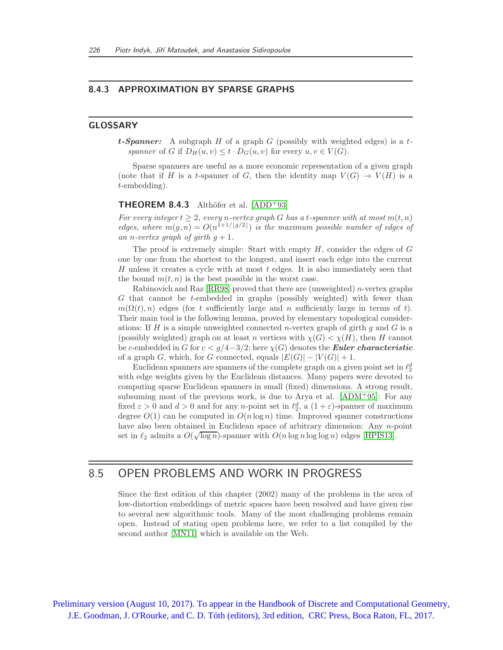### 8.4.3 APPROXIMATION BY SPARSE GRAPHS

#### GLOSSARY

**t-Spanner:** A subgraph H of a graph G (possibly with weighted edges) is a tspanner of G if  $D_H(u, v) \le t \cdot D_G(u, v)$  for every  $u, v \in V(G)$ .

Sparse spanners are useful as a more economic representation of a given graph (note that if H is a t-spanner of G, then the identity map  $V(G) \rightarrow V(H)$  is a t-embedding).

#### **THEOREM 8.4.3** Althöfer et al.  $[ADD^+93]$

For every integer  $t \geq 2$ , every n-vertex graph G has a t-spanner with at most  $m(t, n)$ edges, where  $m(g, n) = O(n^{1+1/[g/2]})$  is the maximum possible number of edges of an n-vertex graph of girth  $g + 1$ .

The proof is extremely simple: Start with empty  $H$ , consider the edges of  $G$ one by one from the shortest to the longest, and insert each edge into the current H unless it creates a cycle with at most  $t$  edges. It is also immediately seen that the bound  $m(t, n)$  is the best possible in the worst case.

Rabinovich and Raz  $[RR98]$  proved that there are (unweighted) *n*-vertex graphs G that cannot be t-embedded in graphs (possibly weighted) with fewer than  $m(\Omega(t), n)$  edges (for t sufficiently large and n sufficiently large in terms of t). Their main tool is the following lemma, proved by elementary topological considerations: If H is a simple unweighted connected *n*-vertex graph of girth  $g$  and  $G$  is a (possibly weighted) graph on at least n vertices with  $\chi(G) < \chi(H)$ , then H cannot be c-embedded in G for  $c < g/4-3/2$ ; here  $\chi(G)$  denotes the **Euler characteristic** of a graph G, which, for G connected, equals  $|E(G)| - |V(G)| + 1$ .

Euclidean spanners are spanners of the complete graph on a given point set in  $\ell_2^d$ with edge weights given by the Euclidean distances. Many papers were devoted to computing sparse Euclidean spanners in small (fixed) dimensions. A strong result, subsuming most of the previous work, is due to Arya et al. [\[ADM](#page-16-11)<sup>+</sup>95]: For any fixed  $\varepsilon > 0$  and  $d > 0$  and for any *n*-point set in  $\ell_2^d$ , a  $(1 + \varepsilon)$ -spanner of maximum degree  $O(1)$  can be computed in  $O(n \log n)$  time. Improved spanner constructions have also been obtained in Euclidean space of arbitrary dimension: Any n-point set in  $\ell_2$  admits a  $O(\sqrt{\log n})$ -spanner with  $O(n \log n \log \log n)$  edges [\[HPIS13\]](#page-19-19).

# 8.5 OPEN PROBLEMS AND WORK IN PROGRESS

Since the first edition of this chapter (2002) many of the problems in the area of low-distortion embeddings of metric spaces have been resolved and have given rise to several new algorithmic tools. Many of the most challenging problems remain open. Instead of stating open problems here, we refer to a list compiled by the second author [\[MN11\]](#page-20-20) which is available on the Web.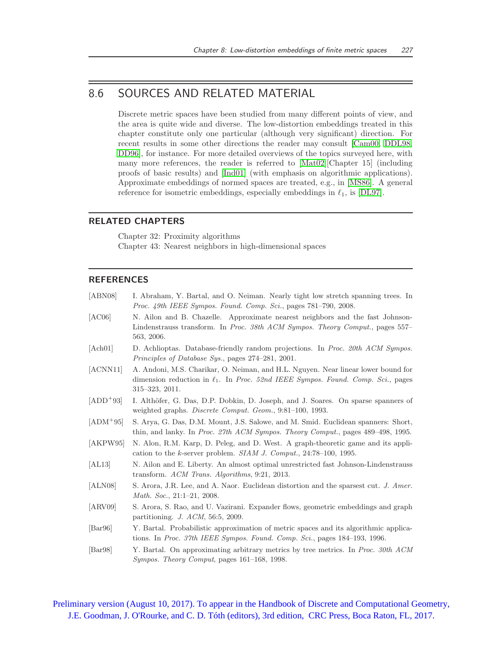# 8.6 SOURCES AND RELATED MATERIAL

Discrete metric spaces have been studied from many different points of view, and the area is quite wide and diverse. The low-distortion embeddings treated in this chapter constitute only one particular (although very significant) direction. For recent results in some other directions the reader may consult [\[Cam00,](#page-17-19) [DDL98,](#page-18-17) [DD96\]](#page-18-18), for instance. For more detailed overviews of the topics surveyed here, with many more references, the reader is referred to [\[Mat02\]](#page-20-7)[Chapter 15] (including proofs of basic results) and [\[Ind01\]](#page-19-20) (with emphasis on algorithmic applications). Approximate embeddings of normed spaces are treated, e.g., in [\[MS86\]](#page-20-0). A general reference for isometric embeddings, especially embeddings in  $\ell_1$ , is [\[DL97\]](#page-18-0).

# RELATED CHAPTERS

Chapter 32: Proximity algorithms Chapter 43: Nearest neighbors in high-dimensional spaces

### **REFERENCES**

<span id="page-16-11"></span><span id="page-16-10"></span><span id="page-16-9"></span><span id="page-16-8"></span><span id="page-16-7"></span><span id="page-16-6"></span><span id="page-16-5"></span><span id="page-16-4"></span><span id="page-16-3"></span><span id="page-16-2"></span><span id="page-16-1"></span><span id="page-16-0"></span>

| [ABN08]                     | I. Abraham, Y. Bartal, and O. Neiman. Nearly tight low stretch spanning trees. In<br><i>Proc. 49th IEEE Sympos. Found. Comp. Sci.</i> , pages 781–790, 2008.                                                |
|-----------------------------|-------------------------------------------------------------------------------------------------------------------------------------------------------------------------------------------------------------|
| [AC06]                      | N. Ailon and B. Chazelle. Approximate nearest neighbors and the fast Johnson-<br>Lindenstrauss transform. In Proc. 38th ACM Sympos. Theory Comput., pages 557–<br>563, 2006.                                |
| [Ach01]                     | D. Achlioptas. Database-friendly random projections. In <i>Proc. 20th ACM Sympos.</i><br><i>Principles of Database Sys.</i> , pages 274–281, 2001.                                                          |
| [ACNN11]                    | A. Andoni, M.S. Charikar, O. Neiman, and H.L. Nguyen. Near linear lower bound for<br>dimension reduction in $\ell_1$ . In <i>Proc.</i> 52nd IEEE Sympos. Found. Comp. Sci., pages<br>$315 - 323$ , $2011$ . |
| $[ADD+93]$                  | I. Althöfer, G. Das, D.P. Dobkin, D. Joseph, and J. Soares. On sparse spanners of<br>weighted graphs. <i>Discrete Comput. Geom.</i> , 9:81-100, 1993.                                                       |
| $[ADM+95]$                  | S. Arya, G. Das, D.M. Mount, J.S. Salowe, and M. Smid. Euclidean spanners: Short,<br>thin, and lanky. In Proc. 27th ACM Sympos. Theory Comput., pages 489–498, 1995.                                        |
| [AKPW95]                    | N. Alon, R.M. Karp, D. Peleg, and D. West. A graph-theoretic game and its appli-<br>cation to the k-server problem. $SIAM$ J. Comput., 24:78-100, 1995.                                                     |
| [AL13]                      | N. Ailon and E. Liberty. An almost optimal unrestricted fast Johnson-Lindenstrauss<br>transform. ACM Trans. Algorithms, $9:21$ , $2013$ .                                                                   |
| [ALN08]                     | S. Arora, J.R. Lee, and A. Naor. Euclidean distortion and the sparsest cut. J. Amer.<br><i>Math. Soc.</i> , $21:1-21$ , $2008$ .                                                                            |
| [ARV09]                     | S. Arora, S. Rao, and U. Vazirani. Expander flows, geometric embeddings and graph<br>partitioning. $J.$ ACM, 56:5, 2009.                                                                                    |
| $\left[\text{Bar}96\right]$ | Y. Bartal. Probabilistic approximation of metric spaces and its algorithmic applica-<br>tions. In Proc. 37th IEEE Sympos. Found. Comp. Sci., pages 184–193, 1996.                                           |
| $\left[\text{Bar98}\right]$ | Y. Bartal. On approximating arbitrary metrics by tree metrics. In <i>Proc. 30th ACM</i><br><i>Sympos. Theory Comput</i> , pages 161–168, 1998.                                                              |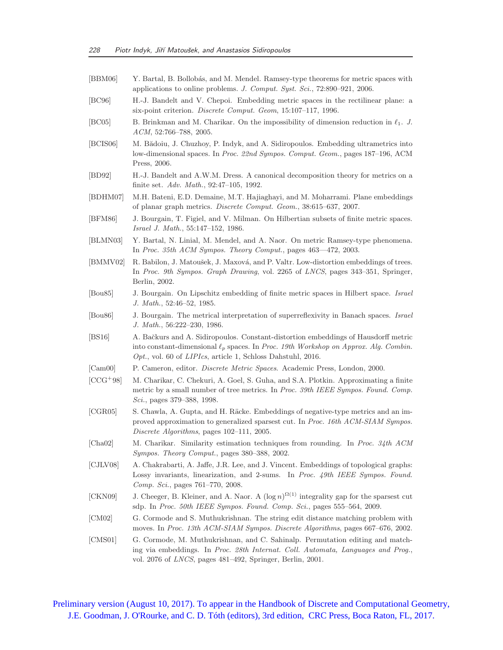<span id="page-17-19"></span><span id="page-17-18"></span><span id="page-17-17"></span><span id="page-17-16"></span><span id="page-17-15"></span><span id="page-17-14"></span><span id="page-17-13"></span><span id="page-17-12"></span><span id="page-17-11"></span><span id="page-17-10"></span><span id="page-17-9"></span><span id="page-17-8"></span><span id="page-17-7"></span><span id="page-17-6"></span><span id="page-17-5"></span><span id="page-17-4"></span><span id="page-17-3"></span><span id="page-17-2"></span><span id="page-17-1"></span><span id="page-17-0"></span>[BBM06] Y. Bartal, B. Bollobás, and M. Mendel. Ramsey-type theorems for metric spaces with applications to online problems. J. Comput. Syst. Sci., 72:890–921, 2006. [BC96] H.-J. Bandelt and V. Chepoi. Embedding metric spaces in the rectilinear plane: a six-point criterion. Discrete Comput. Geom, 15:107–117, 1996. [BC05] B. Brinkman and M. Charikar. On the impossibility of dimension reduction in  $\ell_1$ . J. ACM, 52:766–788, 2005. [BCIS06] M. Bădoiu, J. Chuzhoy, P. Indyk, and A. Sidiropoulos. Embedding ultrametrics into low-dimensional spaces. In Proc. 22nd Sympos. Comput. Geom., pages 187–196, ACM Press, 2006. [BD92] H.-J. Bandelt and A.W.M. Dress. A canonical decomposition theory for metrics on a finite set. Adv. Math., 92:47–105, 1992. [BDHM07] M.H. Bateni, E.D. Demaine, M.T. Hajiaghayi, and M. Moharrami. Plane embeddings of planar graph metrics. Discrete Comput. Geom., 38:615–637, 2007. [BFM86] J. Bourgain, T. Figiel, and V. Milman. On Hilbertian subsets of finite metric spaces. Israel J. Math., 55:147–152, 1986. [BLMN03] Y. Bartal, N. Linial, M. Mendel, and A. Naor. On metric Ramsey-type phenomena. In Proc. 35th ACM Sympos. Theory Comput., pages 463—472, 2003. [BMMV02] R. Babilon, J. Matoušek, J. Maxová, and P. Valtr. Low-distortion embeddings of trees. In Proc. 9th Sympos. Graph Drawing, vol. 2265 of LNCS, pages 343–351, Springer, Berlin, 2002. [Bou85] J. Bourgain. On Lipschitz embedding of finite metric spaces in Hilbert space. Israel J. Math., 52:46–52, 1985. [Bou86] J. Bourgain. The metrical interpretation of superreflexivity in Banach spaces. Israel J. Math., 56:222–230, 1986. [BS16] A. Bačkurs and A. Sidiropoulos. Constant-distortion embeddings of Hausdorff metric into constant-dimensional  $\ell_p$  spaces. In Proc. 19th Workshop on Approx. Alg. Combin. Opt., vol. 60 of LIPIcs, article 1, Schloss Dahstuhl, 2016. [Cam00] P. Cameron, editor. Discrete Metric Spaces. Academic Press, London, 2000. [CCG<sup>+</sup>98] M. Charikar, C. Chekuri, A. Goel, S. Guha, and S.A. Plotkin. Approximating a finite metric by a small number of tree metrics. In Proc. 39th IEEE Sympos. Found. Comp. Sci., pages 379–388, 1998. [CGR05] S. Chawla, A. Gupta, and H. Räcke. Embeddings of negative-type metrics and an improved approximation to generalized sparsest cut. In Proc. 16th ACM-SIAM Sympos. Discrete Algorithms, pages 102–111, 2005. [Cha02] M. Charikar. Similarity estimation techniques from rounding. In Proc. 34th ACM Sympos. Theory Comput., pages 380–388, 2002. [CJLV08] A. Chakrabarti, A. Jaffe, J.R. Lee, and J. Vincent. Embeddings of topological graphs: Lossy invariants, linearization, and 2-sums. In Proc. 49th IEEE Sympos. Found. Comp. Sci., pages 761–770, 2008. [CKN09] J. Cheeger, B. Kleiner, and A. Naor. A  $(\log n)^{\Omega(1)}$  integrality gap for the sparsest cut sdp. In Proc. 50th IEEE Sympos. Found. Comp. Sci., pages 555–564, 2009. [CM02] G. Cormode and S. Muthukrishnan. The string edit distance matching problem with moves. In Proc. 13th ACM-SIAM Sympos. Discrete Algorithms, pages 667–676, 2002. [CMS01] G. Cormode, M. Muthukrishnan, and C. Sahinalp. Permutation editing and matching via embeddings. In Proc. 28th Internat. Coll. Automata, Languages and Prog., vol. 2076 of LNCS, pages 481–492, Springer, Berlin, 2001.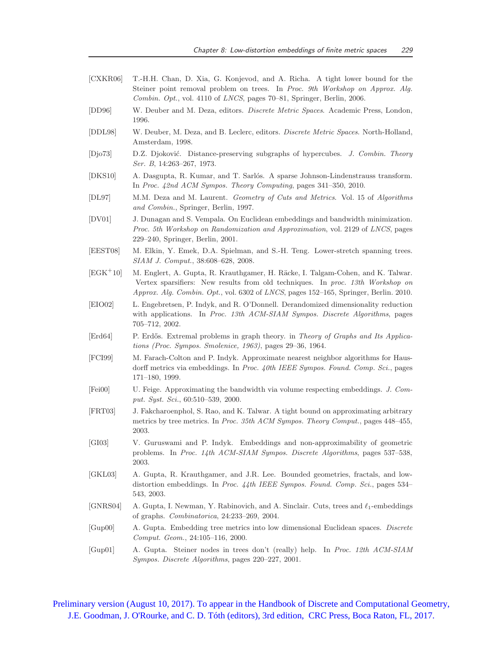- <span id="page-18-14"></span>[CXKR06] T.-H.H. Chan, D. Xia, G. Konjevod, and A. Richa. A tight lower bound for the Steiner point removal problem on trees. In Proc. 9th Workshop on Approx. Alg. Combin. Opt., vol. 4110 of LNCS, pages 70–81, Springer, Berlin, 2006.
- <span id="page-18-18"></span>[DD96] W. Deuber and M. Deza, editors. Discrete Metric Spaces. Academic Press, London, 1996.
- <span id="page-18-17"></span>[DDL98] W. Deuber, M. Deza, and B. Leclerc, editors. Discrete Metric Spaces. North-Holland, Amsterdam, 1998.
- <span id="page-18-1"></span>[Djo73] D.Z. Djoković. Distance-preserving subgraphs of hypercubes. J. Combin. Theory Ser. B, 14:263–267, 1973.
- <span id="page-18-4"></span>[DKS10] A. Dasgupta, R. Kumar, and T. Sarlós. A sparse Johnson-Lindenstrauss transform. In Proc. 42nd ACM Sympos. Theory Computing, pages 341–350, 2010.
- <span id="page-18-0"></span>[DL97] M.M. Deza and M. Laurent. Geometry of Cuts and Metrics. Vol. 15 of Algorithms and Combin., Springer, Berlin, 1997.
- <span id="page-18-6"></span>[DV01] J. Dunagan and S. Vempala. On Euclidean embeddings and bandwidth minimization. Proc. 5th Workshop on Randomization and Approximation, vol. 2129 of LNCS, pages 229–240, Springer, Berlin, 2001.
- <span id="page-18-15"></span>[EEST08] M. Elkin, Y. Emek, D.A. Spielman, and S.-H. Teng. Lower-stretch spanning trees. SIAM J. Comput., 38:608–628, 2008.
- <span id="page-18-16"></span> $[\text{EGK}^+10]$  M. Englert, A. Gupta, R. Krauthgamer, H. Räcke, I. Talgam-Cohen, and K. Talwar. Vertex sparsifiers: New results from old techniques. In proc. 13th Workshop on Approx. Alg. Combin. Opt., vol. 6302 of LNCS, pages 152–165, Springer, Berlin. 2010.
- <span id="page-18-3"></span>[EIO02] L. Engebretsen, P. Indyk, and R. O'Donnell. Derandomized dimensionality reduction with applications. In Proc. 13th ACM-SIAM Sympos. Discrete Algorithms, pages 705–712, 2002.
- <span id="page-18-2"></span>[Erd64] P. Erdős. Extremal problems in graph theory. in Theory of Graphs and Its Applications (Proc. Sympos. Smolenice, 1963), pages 29–36, 1964.
- <span id="page-18-10"></span>[FCI99] M. Farach-Colton and P. Indyk. Approximate nearest neighbor algorithms for Hausdorff metrics via embeddings. In Proc. 40th IEEE Sympos. Found. Comp. Sci., pages 171–180, 1999.
- <span id="page-18-5"></span>[Fei00] U. Feige. Approximating the bandwidth via volume respecting embeddings. J. Comput. Syst. Sci., 60:510–539, 2000.
- <span id="page-18-13"></span>[FRT03] J. Fakcharoenphol, S. Rao, and K. Talwar. A tight bound on approximating arbitrary metrics by tree metrics. In Proc. 35th ACM Sympos. Theory Comput., pages 448–455, 2003.
- <span id="page-18-11"></span>[GI03] V. Guruswami and P. Indyk. Embeddings and non-approximability of geometric problems. In Proc. 14th ACM-SIAM Sympos. Discrete Algorithms, pages 537–538, 2003.
- <span id="page-18-9"></span>[GKL03] A. Gupta, R. Krauthgamer, and J.R. Lee. Bounded geometries, fractals, and lowdistortion embeddings. In Proc. 44th IEEE Sympos. Found. Comp. Sci., pages 534– 543, 2003.
- <span id="page-18-8"></span>[GNRS04] A. Gupta, I. Newman, Y. Rabinovich, and A. Sinclair. Cuts, trees and ℓ1-embeddings of graphs. Combinatorica, 24:233–269, 2004.
- <span id="page-18-7"></span>[Gup00] A. Gupta. Embedding tree metrics into low dimensional Euclidean spaces. Discrete Comput. Geom., 24:105–116, 2000.
- <span id="page-18-12"></span>[Gup01] A. Gupta. Steiner nodes in trees don't (really) help. In Proc. 12th ACM-SIAM Sympos. Discrete Algorithms, pages 220–227, 2001.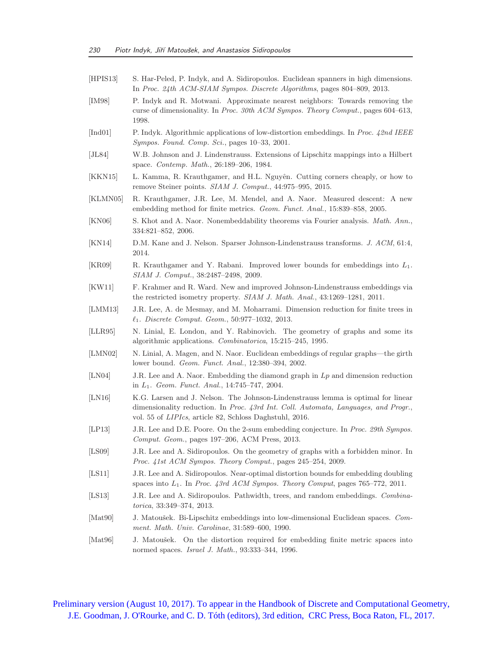<span id="page-19-20"></span><span id="page-19-19"></span><span id="page-19-18"></span><span id="page-19-17"></span><span id="page-19-16"></span><span id="page-19-15"></span><span id="page-19-14"></span><span id="page-19-13"></span><span id="page-19-12"></span><span id="page-19-11"></span><span id="page-19-10"></span><span id="page-19-9"></span><span id="page-19-8"></span><span id="page-19-7"></span><span id="page-19-6"></span><span id="page-19-5"></span><span id="page-19-4"></span><span id="page-19-3"></span><span id="page-19-2"></span><span id="page-19-1"></span><span id="page-19-0"></span>[HPIS13] S. Har-Peled, P. Indyk, and A. Sidiropoulos. Euclidean spanners in high dimensions. In Proc. 24th ACM-SIAM Sympos. Discrete Algorithms, pages 804–809, 2013. [IM98] P. Indyk and R. Motwani. Approximate nearest neighbors: Towards removing the curse of dimensionality. In Proc. 30th ACM Sympos. Theory Comput., pages 604–613, 1998. [Ind01] P. Indyk. Algorithmic applications of low-distortion embeddings. In Proc. 42nd IEEE Sympos. Found. Comp. Sci., pages 10–33, 2001. [JL84] W.B. Johnson and J. Lindenstrauss. Extensions of Lipschitz mappings into a Hilbert space. Contemp. Math., 26:189–206, 1984. [KKN15] L. Kamma, R. Krauthgamer, and H.L. Nguyên. Cutting corners cheaply, or how to remove Steiner points. SIAM J. Comput., 44:975–995, 2015. [KLMN05] R. Krauthgamer, J.R. Lee, M. Mendel, and A. Naor. Measured descent: A new embedding method for finite metrics. Geom. Funct. Anal., 15:839–858, 2005. [KN06] S. Khot and A. Naor. Nonembeddability theorems via Fourier analysis. Math. Ann., 334:821–852, 2006. [KN14] D.M. Kane and J. Nelson. Sparser Johnson-Lindenstrauss transforms. J. ACM, 61:4, 2014. [KR09] R. Krauthgamer and Y. Rabani. Improved lower bounds for embeddings into L1. SIAM J. Comput., 38:2487–2498, 2009. [KW11] F. Krahmer and R. Ward. New and improved Johnson-Lindenstrauss embeddings via the restricted isometry property. SIAM J. Math. Anal., 43:1269–1281, 2011. [LMM13] J.R. Lee, A. de Mesmay, and M. Moharrami. Dimension reduction for finite trees in ℓ1. Discrete Comput. Geom., 50:977–1032, 2013. [LLR95] N. Linial, E. London, and Y. Rabinovich. The geometry of graphs and some its algorithmic applications. Combinatorica, 15:215–245, 1995. [LMN02] N. Linial, A. Magen, and N. Naor. Euclidean embeddings of regular graphs—the girth lower bound. Geom. Funct. Anal., 12:380–394, 2002. [LN04] J.R. Lee and A. Naor. Embedding the diamond graph in  $L_p$  and dimension reduction in L1. Geom. Funct. Anal., 14:745–747, 2004. [LN16] K.G. Larsen and J. Nelson. The Johnson-Lindenstrauss lemma is optimal for linear dimensionality reduction. In Proc. 43rd Int. Coll. Automata, Languages, and Progr., vol. 55 of LIPIcs, article 82, Schloss Daghstuhl, 2016. [LP13] J.R. Lee and D.E. Poore. On the 2-sum embedding conjecture. In Proc. 29th Sympos. Comput. Geom., pages 197–206, ACM Press, 2013. [LS09] J.R. Lee and A. Sidiropoulos. On the geometry of graphs with a forbidden minor. In Proc. 41st ACM Sympos. Theory Comput., pages 245–254, 2009. [LS11] J.R. Lee and A. Sidiropoulos. Near-optimal distortion bounds for embedding doubling spaces into  $L_1$ . In Proc. 43rd ACM Sympos. Theory Comput, pages 765–772, 2011. [LS13] J.R. Lee and A. Sidiropoulos. Pathwidth, trees, and random embeddings. *Combina*torica, 33:349–374, 2013. [Mat90] J. Matoušek. Bi-Lipschitz embeddings into low-dimensional Euclidean spaces. Comment. Math. Univ. Carolinae, 31:589–600, 1990. [Mat96] J. Matoušek. On the distortion required for embedding finite metric spaces into normed spaces. Israel J. Math., 93:333–344, 1996.